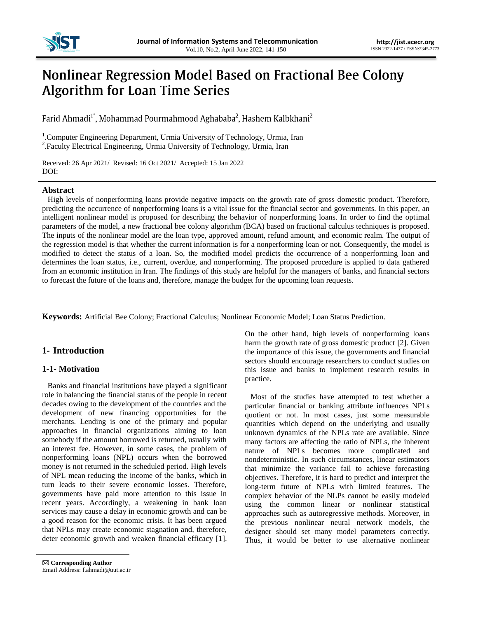

# Nonlinear Regression Model Based on Fractional Bee Colony **Algorithm for Loan Time Series**

Farid Ahmadi<sup>1\*</sup>, Mohammad Pourmahmood Aghababa<sup>2</sup>, Hashem Kalbkhani<sup>2</sup>

<sup>1</sup>. Computer Engineering Department, Urmia University of Technology, Urmia, Iran <sup>2</sup>. Faculty Electrical Engineering, Urmia University of Technology, Urmia, Iran

Received: 26 Apr 2021/ Revised: 16 Oct 2021/ Accepted: 15 Jan 2022 DOI:

## **Abstract**

High levels of nonperforming loans provide negative impacts on the growth rate of gross domestic product. Therefore, predicting the occurrence of nonperforming loans is a vital issue for the financial sector and governments. In this paper, an intelligent nonlinear model is proposed for describing the behavior of nonperforming loans. In order to find the optimal parameters of the model, a new fractional bee colony algorithm (BCA) based on fractional calculus techniques is proposed. The inputs of the nonlinear model are the loan type, approved amount, refund amount, and economic realm. The output of the regression model is that whether the current information is for a nonperforming loan or not. Consequently, the model is modified to detect the status of a loan. So, the modified model predicts the occurrence of a nonperforming loan and determines the loan status, i.e., current, overdue, and nonperforming. The proposed procedure is applied to data gathered from an economic institution in Iran. The findings of this study are helpful for the managers of banks, and financial sectors to forecast the future of the loans and, therefore, manage the budget for the upcoming loan requests.

**Keywords:** Artificial Bee Colony; Fractional Calculus; Nonlinear Economic Model; Loan Status Prediction.

# **1- Introduction**

## **1-1- Motivation**

Banks and financial institutions have played a significant role in balancing the financial status of the people in recent decades owing to the development of the countries and the development of new financing opportunities for the merchants. Lending is one of the primary and popular approaches in financial organizations aiming to loan somebody if the amount borrowed is returned, usually with an interest fee. However, in some cases, the problem of nonperforming loans (NPL) occurs when the borrowed money is not returned in the scheduled period. High levels of NPL mean reducing the income of the banks, which in turn leads to their severe economic losses. Therefore, governments have paid more attention to this issue in recent years. Accordingly, a weakening in bank loan services may cause a delay in economic growth and can be a good reason for the economic crisis. It has been argued that NPLs may create economic stagnation and, therefore, deter economic growth and weaken financial efficacy [1]. On the other hand, high levels of nonperforming loans harm the growth rate of gross domestic product [2]. Given the importance of this issue, the governments and financial sectors should encourage researchers to conduct studies on this issue and banks to implement research results in practice.

Most of the studies have attempted to test whether a particular financial or banking attribute influences NPLs quotient or not. In most cases, just some measurable quantities which depend on the underlying and usually unknown dynamics of the NPLs rate are available. Since many factors are affecting the ratio of NPLs, the inherent nature of NPLs becomes more complicated and nondeterministic. In such circumstances, linear estimators that minimize the variance fail to achieve forecasting objectives. Therefore, it is hard to predict and interpret the long-term future of NPLs with limited features. The complex behavior of the NLPs cannot be easily modeled using the common linear or nonlinear statistical approaches such as autoregressive methods. Moreover, in the previous nonlinear neural network models, the designer should set many model parameters correctly. Thus, it would be better to use alternative nonlinear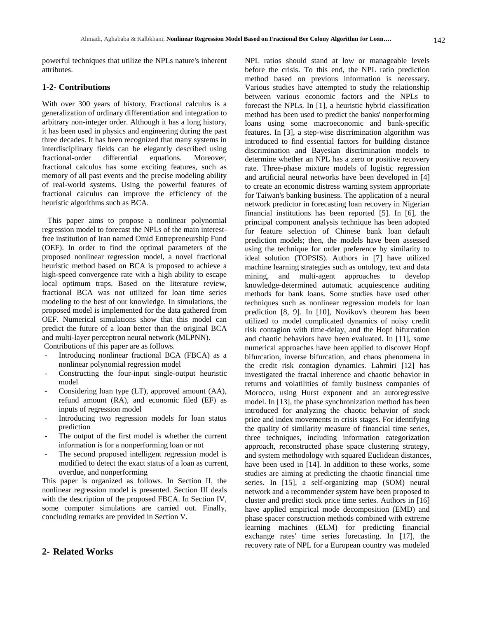powerful techniques that utilize the NPLs nature's inherent attributes.

#### **1-2- Contributions**

With over 300 years of history, Fractional calculus is a generalization of ordinary differentiation and integration to arbitrary non-integer order. Although it has a long history, it has been used in physics and engineering during the past three decades. It has been recognized that many systems in interdisciplinary fields can be elegantly described using fractional-order differential equations. Moreover, fractional calculus has some exciting features, such as memory of all past events and the precise modeling ability of real-world systems. Using the powerful features of fractional calculus can improve the efficiency of the heuristic algorithms such as BCA.

This paper aims to propose a nonlinear polynomial regression model to forecast the NPLs of the main interestfree institution of Iran named Omid Entrepreneurship Fund (OEF). In order to find the optimal parameters of the proposed nonlinear regression model, a novel fractional heuristic method based on BCA is proposed to achieve a high-speed convergence rate with a high ability to escape local optimum traps. Based on the literature review, fractional BCA was not utilized for loan time series modeling to the best of our knowledge. In simulations, the proposed model is implemented for the data gathered from OEF. Numerical simulations show that this model can predict the future of a loan better than the original BCA and multi-layer perceptron neural network (MLPNN). Contributions of this paper are as follows.

- Introducing nonlinear fractional BCA (FBCA) as a nonlinear polynomial regression model
- Constructing the four-input single-output heuristic model
- Considering loan type (LT), approved amount (AA), refund amount (RA), and economic filed (EF) as inputs of regression model
- Introducing two regression models for loan status prediction
- The output of the first model is whether the current information is for a nonperforming loan or not
- The second proposed intelligent regression model is modified to detect the exact status of a loan as current, overdue, and nonperforming

This paper is organized as follows. In Section II, the nonlinear regression model is presented. Section III deals with the description of the proposed FBCA. In Section IV, some computer simulations are carried out. Finally, concluding remarks are provided in Section V.

# **2- Related Works**

NPL ratios should stand at low or manageable levels before the crisis. To this end, the NPL ratio prediction method based on previous information is necessary. Various studies have attempted to study the relationship between various economic factors and the NPLs to forecast the NPLs. In [1], a heuristic hybrid classification method has been used to predict the banks' nonperforming loans using some macroeconomic and bank-specific features. In [3], a step-wise discrimination algorithm was introduced to find essential factors for building distance discrimination and Bayesian discrimination models to determine whether an NPL has a zero or positive recovery rate. Three-phase mixture models of logistic regression and artificial neural networks have been developed in [4] to create an economic distress warning system appropriate for Taiwan's banking business. The application of a neural network predictor in forecasting loan recovery in Nigerian financial institutions has been reported [5]. In [6], the principal component analysis technique has been adopted for feature selection of Chinese bank loan default prediction models; then, the models have been assessed using the technique for order preference by similarity to ideal solution (TOPSIS). Authors in [7] have utilized machine learning strategies such as ontology, text and data mining, and multi-agent approaches to develop knowledge-determined automatic acquiescence auditing methods for bank loans. Some studies have used other techniques such as nonlinear regression models for loan prediction [8, 9]. In [10], Novikov's theorem has been utilized to model complicated dynamics of noisy credit risk contagion with time-delay, and the Hopf bifurcation and chaotic behaviors have been evaluated. In [11], some numerical approaches have been applied to discover Hopf bifurcation, inverse bifurcation, and chaos phenomena in the credit risk contagion dynamics. Lahmiri [12] has investigated the fractal inherence and chaotic behavior in returns and volatilities of family business companies of Morocco, using Hurst exponent and an autoregressive model. In [13], the phase synchronization method has been introduced for analyzing the chaotic behavior of stock price and index movements in crisis stages. For identifying the quality of similarity measure of financial time series, three techniques, including information categorization approach, reconstructed phase space clustering strategy, and system methodology with squared Euclidean distances, have been used in [14]. In addition to these works, some studies are aiming at predicting the chaotic financial time series. In [15], a self-organizing map (SOM) neural network and a recommender system have been proposed to cluster and predict stock price time series. Authors in [16] have applied empirical mode decomposition (EMD) and phase spacer construction methods combined with extreme learning machines (ELM) for predicting financial exchange rates' time series forecasting. In [17], the recovery rate of NPL for a European country was modeled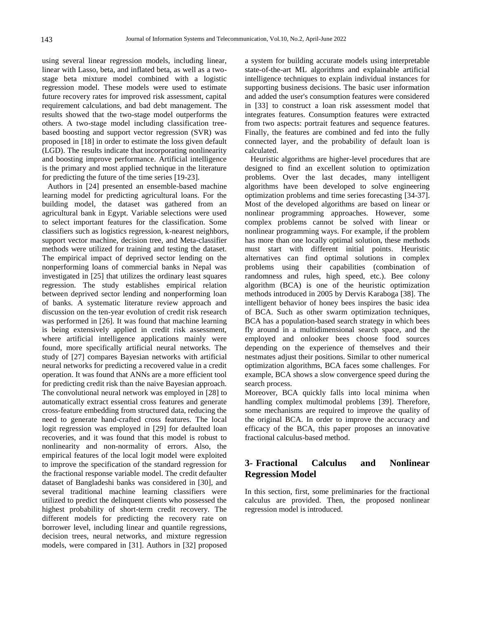using several linear regression models, including linear, linear with Lasso, beta, and inflated beta, as well as a twostage beta mixture model combined with a logistic regression model. These models were used to estimate future recovery rates for improved risk assessment, capital requirement calculations, and bad debt management. The results showed that the two-stage model outperforms the others. A two-stage model including classification treebased boosting and support vector regression (SVR) was proposed in [18] in order to estimate the loss given default (LGD). The results indicate that incorporating nonlinearity and boosting improve performance. Artificial intelligence is the primary and most applied technique in the literature for predicting the future of the time series [19-23].

Authors in [24] presented an ensemble-based machine learning model for predicting agricultural loans. For the building model, the dataset was gathered from an agricultural bank in Egypt. Variable selections were used to select important features for the classification. Some classifiers such as logistics regression, k-nearest neighbors, support vector machine, decision tree, and Meta-classifier methods were utilized for training and testing the dataset. The empirical impact of deprived sector lending on the nonperforming loans of commercial banks in Nepal was investigated in [25] that utilizes the ordinary least squares regression. The study establishes empirical relation between deprived sector lending and nonperforming loan of banks. A systematic literature review approach and discussion on the ten-year evolution of credit risk research was performed in [26]. It was found that machine learning is being extensively applied in credit risk assessment, where artificial intelligence applications mainly were found, more specifically artificial neural networks. The study of [27] compares Bayesian networks with artificial neural networks for predicting a recovered value in a credit operation. It was found that ANNs are a more efficient tool for predicting credit risk than the naive Bayesian approach. The convolutional neural network was employed in [28] to automatically extract essential cross features and generate cross-feature embedding from structured data, reducing the need to generate hand-crafted cross features. The local logit regression was employed in [29] for defaulted loan recoveries, and it was found that this model is robust to nonlinearity and non-normality of errors. Also, the empirical features of the local logit model were exploited to improve the specification of the standard regression for the fractional response variable model. The credit defaulter dataset of Bangladeshi banks was considered in [30], and several traditional machine learning classifiers were utilized to predict the delinquent clients who possessed the highest probability of short-term credit recovery. The different models for predicting the recovery rate on borrower level, including linear and quantile regressions, decision trees, neural networks, and mixture regression models, were compared in [31]. Authors in [32] proposed

a system for building accurate models using interpretable state-of-the-art ML algorithms and explainable artificial intelligence techniques to explain individual instances for supporting business decisions. The basic user information and added the user's consumption features were considered in [33] to construct a loan risk assessment model that integrates features. Consumption features were extracted from two aspects: portrait features and sequence features. Finally, the features are combined and fed into the fully connected layer, and the probability of default loan is calculated.

Heuristic algorithms are higher-level procedures that are designed to find an excellent solution to optimization problems. Over the last decades, many intelligent algorithms have been developed to solve engineering optimization problems and time series forecasting [34-37]. Most of the developed algorithms are based on linear or nonlinear programming approaches. However, some complex problems cannot be solved with linear or nonlinear programming ways. For example, if the problem has more than one locally optimal solution, these methods must start with different initial points. Heuristic alternatives can find optimal solutions in complex problems using their capabilities (combination of randomness and rules, high speed, etc.). Bee colony algorithm (BCA) is one of the heuristic optimization methods introduced in 2005 by Dervis Karaboga [38]. The intelligent behavior of honey bees inspires the basic idea of BCA. Such as other swarm optimization techniques, BCA has a population-based search strategy in which bees fly around in a multidimensional search space, and the employed and onlooker bees choose food sources depending on the experience of themselves and their nestmates adjust their positions. Similar to other numerical optimization algorithms, BCA faces some challenges. For example, BCA shows a slow convergence speed during the search process.

Moreover, BCA quickly falls into local minima when handling complex multimodal problems [39]. Therefore, some mechanisms are required to improve the quality of the original BCA. In order to improve the accuracy and efficacy of the BCA, this paper proposes an innovative fractional calculus-based method.

# **3- Fractional Calculus and Nonlinear Regression Model**

In this section, first, some preliminaries for the fractional calculus are provided. Then, the proposed nonlinear regression model is introduced.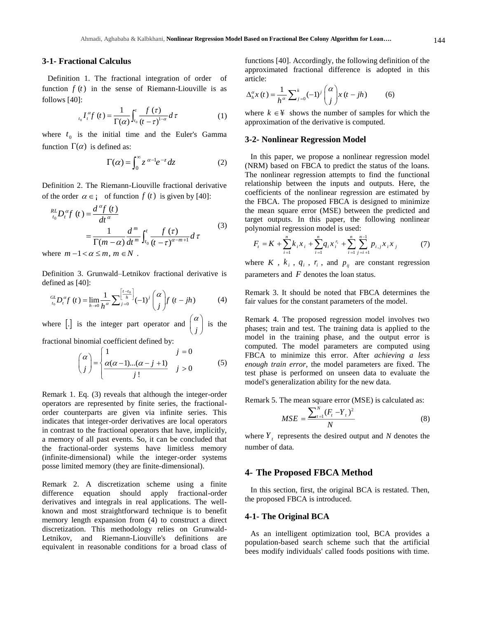#### **3-1- Fractional Calculus**

Definition 1. The fractional integration of order of function  $f(t)$  in the sense of Riemann-Liouville is as follows [40]:

$$
\int_{t_0}^{t_0} I_t^{\alpha} f(t) = \frac{1}{\Gamma(\alpha)} \int_{t_0}^t \frac{f(\tau)}{(t-\tau)^{1-\alpha}} d\tau
$$
 (1)

where  $t_0$  is the initial time and the Euler's Gamma function  $\Gamma(\alpha)$  is defined as:

$$
\Gamma(\alpha) = \int_0^\infty z^{\alpha - 1} e^{-z} dz \tag{2}
$$

Definition 2. The Riemann-Liouville fractional derivative of the order  $\alpha \in \mathfrak{i}$  of function  $f(t)$  is given by [40]:

$$
\sum_{t_0}^{RL} D_t^{\alpha} f(t) = \frac{d^{\alpha} f(t)}{dt^{\alpha}}
$$
\n
$$
= \frac{1}{\Gamma(m-\alpha)} \frac{d^m}{dt^m} \int_{t_0}^t \frac{f(\tau)}{(t-\tau)^{\alpha-m+1}} d\tau
$$
\n(3)

where  $m - 1 < \alpha \le m$ ,  $m \in N$ .

Definition 3. Grunwald–Letnikov fractional derivative is defined as [40]:

$$
{}_{t_0}^{GL}D_t^{\alpha}f(t) = \lim_{h \to 0} \frac{1}{h^{\alpha}} \sum_{j=0}^{\left[\frac{t-t_0}{h}\right]} (-1)^j {\alpha \choose j} f(t-jh) \tag{4}
$$

where  $\begin{bmatrix} . \end{bmatrix}$  is the integer part operator and  $\begin{bmatrix} . \ . \end{bmatrix}$  $(\alpha)$  $\begin{pmatrix} x \\ j \end{pmatrix}$  is the

fractional binomial coefficient defined by:

$$
\begin{pmatrix} \alpha \\ j \end{pmatrix} = \begin{cases} 1 & j = 0 \\ \frac{\alpha(\alpha - 1)...(\alpha - j + 1)}{j!} & j > 0 \end{cases}
$$
 (5)

Remark 1. Eq. (3) reveals that although the integer-order operators are represented by finite series, the fractionalorder counterparts are given via infinite series. This indicates that integer-order derivatives are local operators in contrast to the fractional operators that have, implicitly, a memory of all past events. So, it can be concluded that the fractional-order systems have limitless memory (infinite-dimensional) while the integer-order systems posse limited memory (they are finite-dimensional).

Remark 2. A discretization scheme using a finite difference equation should apply fractional-order derivatives and integrals in real applications. The wellknown and most straightforward technique is to benefit memory length expansion from (4) to construct a direct discretization. This methodology relies on Grunwald-Letnikov, and Riemann-Liouville's definitions are equivalent in reasonable conditions for a broad class of

functions [40]. Accordingly, the following definition of the approximated fractional difference is adopted in this article:

$$
\Delta_h^{\alpha} x(t) = \frac{1}{h^{\alpha}} \sum_{j=0}^{k} (-1)^j {\alpha \choose j} x(t - jh) \tag{6}
$$

where  $k \in \mathcal{F}$  shows the number of samples for which the approximation of the derivative is computed.

#### **3-2- Nonlinear Regression Model**

In this paper, we propose a nonlinear regression model (NRM) based on FBCA to predict the status of the loans. The nonlinear regression attempts to find the functional relationship between the inputs and outputs. Here, the coefficients of the nonlinear regression are estimated by the FBCA. The proposed FBCA is designed to minimize the mean square error (MSE) between the predicted and target outputs. In this paper, the following nonlinear polynomial regression model is used:

$$
F_i = K + \sum_{i=1}^{n} k_i x_i + \sum_{i=1}^{n} q_i x_i^{r_i} + \sum_{i=1}^{n} \sum_{j=i+1}^{n-1} p_{i,j} x_i x_j \tag{7}
$$

where  $K$ ,  $k_i$ ,  $q_i$ ,  $r_i$ , and  $p_{ij}$  are constant regression parameters and *F* denotes the loan status.

Remark 3. It should be noted that FBCA determines the fair values for the constant parameters of the model.

Remark 4. The proposed regression model involves two phases; train and test. The training data is applied to the model in the training phase, and the output error is computed. The model parameters are computed using FBCA to minimize this error. After *achieving a less enough train error*, the model parameters are fixed. The test phase is performed on unseen data to evaluate the model's generalization ability for the new data.

Remark 5. The mean square error (MSE) is calculated as:

$$
MSE = \frac{\sum_{t=1}^{N} (F_t - Y_t)^2}{N}
$$
 (8)

where  $Y_t$  represents the desired output and N denotes the number of data.

#### **4- The Proposed FBCA Method**

In this section, first, the original BCA is restated. Then, the proposed FBCA is introduced.

## **4-1- The Original BCA**

As an intelligent optimization tool, BCA provides a population-based search scheme such that the artificial bees modify individuals' called foods positions with time.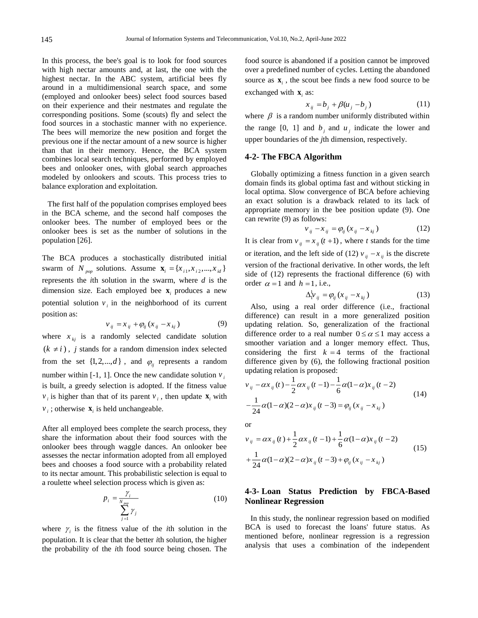In this process, the bee's goal is to look for food sources with high nectar amounts and, at last, the one with the highest nectar. In the ABC system, artificial bees fly around in a multidimensional search space, and some (employed and onlooker bees) select food sources based on their experience and their nestmates and regulate the corresponding positions. Some (scouts) fly and select the food sources in a stochastic manner with no experience. The bees will memorize the new position and forget the previous one if the nectar amount of a new source is higher than that in their memory. Hence, the BCA system combines local search techniques, performed by employed bees and onlooker ones, with global search approaches modeled by onlookers and scouts. This process tries to balance exploration and exploitation.

The first half of the population comprises employed bees in the BCA scheme, and the second half composes the onlooker bees. The number of employed bees or the onlooker bees is set as the number of solutions in the population [26].

The BCA produces a stochastically distributed initial swarm of *N*<sub>pop</sub> solutions. Assume  $\mathbf{x}_i = \{x_{i1}, x_{i2}, ..., x_{id}\}\$ represents the *i*th solution in the swarm, where *d* is the dimension size. Each employed bee  $\mathbf{x}_i$  produces a new potential solution  $v_i$  in the neighborhood of its current position as:

$$
v_{ij} = x_{ij} + \varphi_{ij} (x_{ij} - x_{kj})
$$
 (9)

where  $x_{kj}$  is a randomly selected candidate solution  $(k \neq i)$ , *j* stands for a random dimension index selected from the set  $\{1, 2, ..., d\}$ , and  $\varphi_{ij}$  represents a random number within  $[-1, 1]$ . Once the new candidate solution  $v_i$ is built, a greedy selection is adopted. If the fitness value  $v_i$  is higher than that of its parent  $v_i$ , then update  $\mathbf{x}_i$  with  $v_i$ ; otherwise  $\mathbf{x}_i$  is held unchangeable.

After all employed bees complete the search process, they share the information about their food sources with the onlooker bees through waggle dances. An onlooker bee assesses the nectar information adopted from all employed bees and chooses a food source with a probability related to its nectar amount. This probabilistic selection is equal to a roulette wheel selection process which is given as:

$$
p_i = \frac{\gamma_i}{\sum_{j=1}^{N_{pop}} \gamma_j}
$$
 (10)

where  $\gamma$  is the fitness value of the *i*th solution in the population. It is clear that the better *i*th solution, the higher the probability of the *i*th food source being chosen. The

food source is abandoned if a position cannot be improved over a predefined number of cycles. Letting the abandoned source as  $\mathbf{x}_i$ , the scout bee finds a new food source to be exchanged with  $\mathbf{x}_i$  as:

$$
x_{ij} = b_j + \beta (u_j - b_j) \tag{11}
$$

where  $\beta$  is a random number uniformly distributed within the range [0, 1] and  $b_j$  and  $u_j$  indicate the lower and upper boundaries of the *j*th dimension, respectively.

## **4-2- The FBCA Algorithm**

 Globally optimizing a fitness function in a given search domain finds its global optima fast and without sticking in local optima. Slow convergence of BCA before achieving an exact solution is a drawback related to its lack of appropriate memory in the bee position update (9). One can rewrite (9) as follows:

$$
v_{ij} - x_{ij} = \varphi_{ij} (x_{ij} - x_{kj})
$$
 (12)

It is clear from  $v_{ij} = x_{ij} (t + 1)$ , where *t* stands for the time or iteration, and the left side of (12)  $v_{ij} - x_{ij}$  is the discrete version of the fractional derivative. In other words, the left side of (12) represents the fractional difference (6) with order  $\alpha = 1$  and  $h = 1$ , i.e.,

$$
\Delta_{i}^{1} v_{ij} = \varphi_{ij} (x_{ij} - x_{kj}) \tag{13}
$$

Also, using a real order difference (i.e., fractional difference) can result in a more generalized position updating relation. So, generalization of the fractional difference order to a real number  $0 \le \alpha \le 1$  may access a smoother variation and a longer memory effect. Thus, considering the first  $k = 4$  terms of the fractional difference given by (6), the following fractional position updating relation is proposed:

$$
v_{ij} - \alpha x_{ij}(t) - \frac{1}{2}\alpha x_{ij}(t-1) - \frac{1}{6}\alpha(1-\alpha)x_{ij}(t-2)
$$
  

$$
-\frac{1}{24}\alpha(1-\alpha)(2-\alpha)x_{ij}(t-3) = \varphi_{ij}(x_{ij} - x_{kj})
$$
 (14)

or

$$
v_{ij} = \alpha x_{ij}(t) + \frac{1}{2}\alpha x_{ij}(t-1) + \frac{1}{6}\alpha(1-\alpha)x_{ij}(t-2)
$$
  
+ 
$$
\frac{1}{24}\alpha(1-\alpha)(2-\alpha)x_{ij}(t-3) + \varphi_{ij}(x_{ij}-x_{kj})
$$
 (15)

## **4-3- Loan Status Prediction by FBCA-Based Nonlinear Regression**

In this study, the nonlinear regression based on modified BCA is used to forecast the loans' future status. As mentioned before, nonlinear regression is a regression analysis that uses a combination of the independent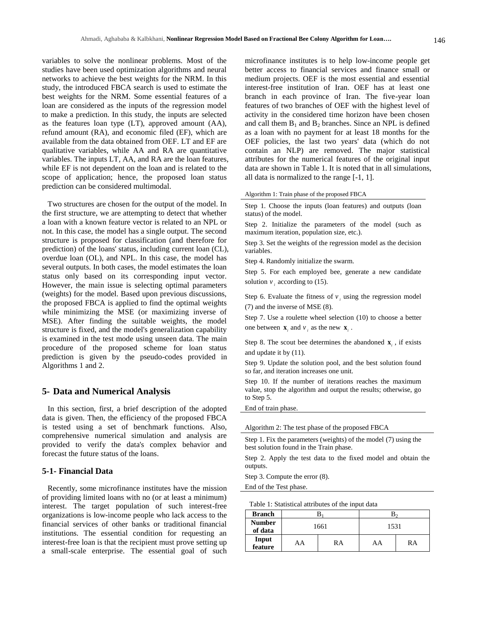variables to solve the nonlinear problems. Most of the studies have been used optimization algorithms and neural networks to achieve the best weights for the NRM. In this study, the introduced FBCA search is used to estimate the best weights for the NRM. Some essential features of a loan are considered as the inputs of the regression model to make a prediction. In this study, the inputs are selected as the features loan type (LT), approved amount (AA), refund amount (RA), and economic filed (EF), which are available from the data obtained from OEF. LT and EF are qualitative variables, while AA and RA are quantitative variables. The inputs LT, AA, and RA are the loan features, while EF is not dependent on the loan and is related to the scope of application; hence, the proposed loan status prediction can be considered multimodal.

Two structures are chosen for the output of the model. In the first structure, we are attempting to detect that whether a loan with a known feature vector is related to an NPL or not. In this case, the model has a single output. The second structure is proposed for classification (and therefore for prediction) of the loans' status, including current loan (CL), overdue loan (OL), and NPL. In this case, the model has several outputs. In both cases, the model estimates the loan status only based on its corresponding input vector. However, the main issue is selecting optimal parameters (weights) for the model. Based upon previous discussions, the proposed FBCA is applied to find the optimal weights while minimizing the MSE (or maximizing inverse of MSE). After finding the suitable weights, the model structure is fixed, and the model's generalization capability is examined in the test mode using unseen data. The main procedure of the proposed scheme for loan status prediction is given by the pseudo-codes provided in Algorithms 1 and 2.

#### **5- Data and Numerical Analysis**

In this section, first, a brief description of the adopted data is given. Then, the efficiency of the proposed FBCA is tested using a set of benchmark functions. Also, comprehensive numerical simulation and analysis are provided to verify the data's complex behavior and forecast the future status of the loans.

## **5-1- Financial Data**

Recently, some microfinance institutes have the mission of providing limited loans with no (or at least a minimum) interest. The target population of such interest-free organizations is low-income people who lack access to the financial services of other banks or traditional financial institutions. The essential condition for requesting an interest-free loan is that the recipient must prove setting up a small-scale enterprise. The essential goal of such

microfinance institutes is to help low-income people get better access to financial services and finance small or medium projects. OEF is the most essential and essential interest-free institution of Iran. OEF has at least one branch in each province of Iran. The five-year loan features of two branches of OEF with the highest level of activity in the considered time horizon have been chosen and call them  $B_1$  and  $B_2$  branches. Since an NPL is defined as a loan with no payment for at least 18 months for the OEF policies, the last two years' data (which do not contain an NLP) are removed. The major statistical attributes for the numerical features of the original input data are shown in Table 1. It is noted that in all simulations, all data is normalized to the range [-1, 1].

## Algorithm 1: Train phase of the proposed FBCA

Step 1. Choose the inputs (loan features) and outputs (loan status) of the model.

Step 2. Initialize the parameters of the model (such as maximum iteration, population size, etc.).

Step 3. Set the weights of the regression model as the decision variables.

Step 4. Randomly initialize the swarm.

Step 5. For each employed bee, generate a new candidate solution  $v_i$  according to (15).

Step 6. Evaluate the fitness of  $v_i$  using the regression model (7) and the inverse of MSE (8).

Step 7. Use a roulette wheel selection (10) to choose a better one between  $\mathbf{x}_i$  and  $v_i$  as the new  $\mathbf{x}_i$ .

Step 8. The scout bee determines the abandoned  $\mathbf{x}_i$ , if exists and update it by (11).

Step 9. Update the solution pool, and the best solution found so far, and iteration increases one unit.

Step 10. If the number of iterations reaches the maximum value, stop the algorithm and output the results; otherwise, go to Step 5.

End of train phase.

Algorithm 2: The test phase of the proposed FBCA

Step 1. Fix the parameters (weights) of the model (7) using the best solution found in the Train phase.

Step 2. Apply the test data to the fixed model and obtain the outputs.

Step 3. Compute the error (8).

End of the Test phase.

Table 1: Statistical attributes of the input data

| <b>Branch</b>            |          |  | Ŋ۰   |    |
|--------------------------|----------|--|------|----|
| <b>Number</b><br>of data | 1661     |  | 1531 |    |
| Input<br>feature         | RA<br>AA |  | AA   | RA |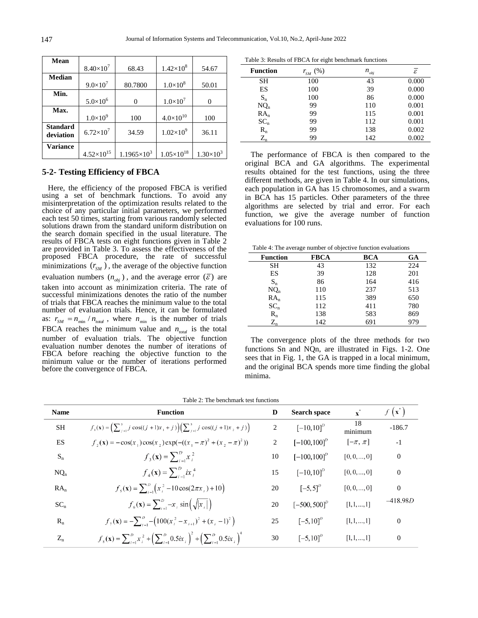| Mean                         |                     |                      |                     |                    |
|------------------------------|---------------------|----------------------|---------------------|--------------------|
|                              | $8.40\times10^{7}$  | 68.43                | $1.42\times10^{8}$  | 54.67              |
| <b>Median</b>                |                     |                      |                     |                    |
|                              | $9.0 \times 10^{7}$ | 80.7800              | $1.0\times10^{8}$   | 50.01              |
| Min.                         |                     |                      |                     |                    |
|                              | $5.0 \times 10^{6}$ | 0                    | $1.0\times10^{7}$   | 0                  |
| Max.                         |                     |                      |                     |                    |
|                              | $1.0 \times 10^{9}$ | 100                  | $4.0\times10^{10}$  | 100                |
| <b>Standard</b><br>deviation | $6.72\times10^{7}$  | 34.59                | $1.02\times10^{9}$  | 36.11              |
| <b>Variance</b>              |                     |                      |                     |                    |
|                              | $4.52\times10^{15}$ | $1.1965\times10^{3}$ | $1.05\times10^{18}$ | $1.30\times10^{3}$ |

## **5-2- Testing Efficiency of FBCA**

 Here, the efficiency of the proposed FBCA is verified using a set of benchmark functions. To avoid any misinterpretation of the optimization results related to the choice of any particular initial parameters, we performed each test 50 times, starting from various randomly selected solutions drawn from the standard uniform distribution on the search domain specified in the usual literature. The results of FBCA tests on eight functions given in Table 2 are provided in Table 3. To assess the effectiveness of the proposed FBCA procedure, the rate of successful minimizations  $(r_{SM})$ , the average of the objective function evaluation numbers  $(n_{obj})$ , and the average error  $(\bar{\varepsilon})$  are taken into account as minimization criteria. The rate of successful minimizations denotes the ratio of the number of trials that FBCA reaches the minimum value to the total number of evaluation trials. Hence, it can be formulated as:  $r_{SM} = n_{min} / n_{total}$ , where  $n_{min}$  is the number of trials FBCA reaches the minimum value and  $n_{total}$  is the total number of evaluation trials. The objective function evaluation number denotes the number of iterations of FBCA before reaching the objective function to the minimum value or the number of iterations performed before the convergence of FBCA.

Table 3: Results of FBCA for eight benchmark functions

| <b>Function</b> | (% )<br>$r_{\scriptscriptstyle SM}^{}$ | $n_{_{obj}}$ | $\bar{\varepsilon}$ |
|-----------------|----------------------------------------|--------------|---------------------|
| SН              | 100                                    | 43           | 0.000               |
| ES              | 100                                    | 39           | 0.000               |
| $S_n$           | 100                                    | 86           | 0.000               |
| $NQ_n$          | 99                                     | 110          | 0.001               |
| $RA_n$          | 99                                     | 115          | 0.001               |
| $SC_n$          | 99                                     | 112          | 0.001               |
| $R_{n}$         | 99                                     | 138          | 0.002               |
| $\rm Z_n$       | 99                                     | 142          | 0.002               |

 The performance of FBCA is then compared to the original BCA and GA algorithms. The experimental results obtained for the test functions, using the three different methods, are given in Table 4. In our simulations, each population in GA has 15 chromosomes, and a swarm in BCA has 15 particles. Other parameters of the three algorithms are selected by trial and error. For each function, we give the average number of function evaluations for 100 runs.

Table 4: The average number of objective function evaluations

| <b>Function</b> | <b>FBCA</b> | BCA | GA  |
|-----------------|-------------|-----|-----|
| SН              | 43          | 132 | 224 |
| ES              | 39          | 128 | 201 |
| $S_n$           | 86          | 164 | 416 |
| $NQ_n$          | 110         | 237 | 513 |
| $RA_n$          | 115         | 389 | 650 |
| $SC_n$          | 112         | 411 | 780 |
| $R_{n}$         | 138         | 583 | 869 |
| $Z_{n}$         | 142         | 691 | 979 |

 The convergence plots of the three methods for two functions Sn and NQn, are illustrated in Figs. 1-2. One sees that in Fig. 1, the GA is trapped in a local minimum, and the original BCA spends more time finding the global minima.

| <b>Name</b> | <b>Function</b>                                                                                                   | D  | <b>Search space</b> | $\mathbf{x}^*$ | $f(\mathbf{x}^*)$ |
|-------------|-------------------------------------------------------------------------------------------------------------------|----|---------------------|----------------|-------------------|
| <b>SH</b>   | $f_1(\mathbf{x}) = \left(\sum_{i=1}^5 j \cos((j+1)x_1 + j)\right) \left(\sum_{i=1}^5 j \cos((j+1)x_2 + j)\right)$ | 2  | $[-10, 10]^p$       | $18$ minimum   | $-186.7$          |
| <b>ES</b>   | $f_{2}(\mathbf{x}) = -\cos(x_{1})\cos(x_{2})\exp(-(x_{1} - \pi)^{2} + (x_{2} - \pi)^{2}))$                        | 2  | $[-100, 100]^D$     | $[-\pi, \pi]$  | $-1$              |
| $S_n$       | $f_3(\mathbf{x}) = \sum_{i=1}^{D} x_i^2$                                                                          | 10 | $[-100, 100]^D$     | [0, 0, , 0]    | $\overline{0}$    |
| $NQ_n$      | $f_4(\mathbf{x}) = \sum_{i=1}^{D} ix_i^4$                                                                         | 15 | $[-10, 10]^p$       | [0, 0, , 0]    | $\theta$          |
| $RA_n$      | $f_5(\mathbf{x}) = \sum_{i=1}^{D} (x_i^2 - 10\cos(2\pi x_i) + 10)$                                                | 20 | $[-5,5]^D$          | [0, 0, , 0]    | $\theta$          |
| $SC_n$      | $f_6(\mathbf{x}) = \sum_{i=1}^{D} -x_i \sin(\sqrt{ x_i })$                                                        | 20 | $[-500, 500]^D$     | [1, 1, , 1]    | $-418.98D$        |
| $R_{n}$     | $f_{\tau}(\mathbf{x}) = -\sum_{i=1}^{D} -\left(100(x_i^2 - x_{i+1})^2 + (x_i - 1)^2\right)$                       | 25 | $[-5,10]^D$         | [1, 1, , 1]    | $\overline{0}$    |
| $Z_{n}$     | $f_8(x) = \sum_{i=1}^{D} x_i^2 + \left(\sum_{i=1}^{D} 0.5ix_i\right)^2 + \left(\sum_{i=1}^{D} 0.5ix_i\right)^4$   | 30 | $[-5,10]^D$         | [1, 1, , 1]    | $\Omega$          |

Table 2: The benchmark test functions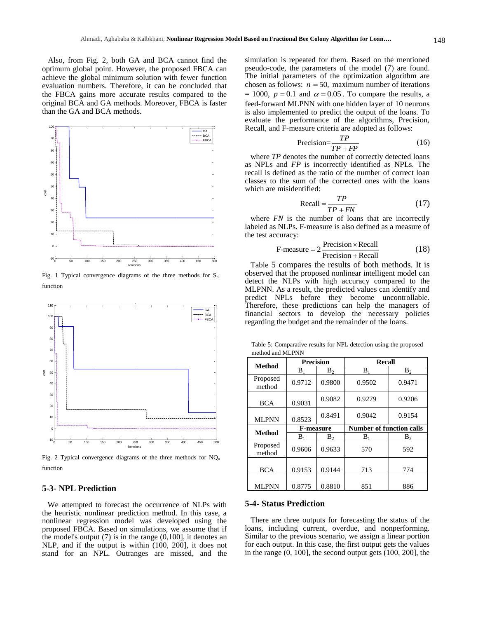Also, from Fig. 2, both GA and BCA cannot find the optimum global point. However, the proposed FBCA can achieve the global minimum solution with fewer function evaluation numbers. Therefore, it can be concluded that the FBCA gains more accurate results compared to the original BCA and GA methods. Moreover, FBCA is faster than the GA and BCA methods.



Fig. 1 Typical convergence diagrams of the three methods for  $S<sub>n</sub>$ function



Fig. 2 Typical convergence diagrams of the three methods for  $NO<sub>n</sub>$ function

## **5-3- NPL Prediction**

We attempted to forecast the occurrence of NLPs with the heuristic nonlinear prediction method. In this case, a nonlinear regression model was developed using the proposed FBCA. Based on simulations, we assume that if the model's output  $(7)$  is in the range  $(0,100]$ , it denotes an NLP, and if the output is within (100, 200], it does not stand for an NPL. Outranges are missed, and the

simulation is repeated for them. Based on the mentioned pseudo-code, the parameters of the model (7) are found. The initial parameters of the optimization algorithm are chosen as follows:  $n = 50$ , maximum number of iterations  $= 1000$ ,  $p = 0.1$  and  $\alpha = 0.05$ . To compare the results, a feed-forward MLPNN with one hidden layer of 10 neurons is also implemented to predict the output of the loans. To evaluate the performance of the algorithms, Precision, Recall, and F-measure criteria are adopted as follows:

$$
Precision = \frac{TP}{TP + FP}
$$
 (16)

where *TP* denotes the number of correctly detected loans as NPLs and *FP* is incorrectly identified as NPLs. The recall is defined as the ratio of the number of correct loan classes to the sum of the corrected ones with the loans which are misidentified:

$$
Recall = \frac{TP}{TP + FN}
$$
 (17)

where *FN* is the number of loans that are incorrectly labeled as NLPs. F-measure is also defined as a measure of the test accuracy:

$$
F-measure = 2 \frac{Precision \times Recall}{Precision + Recall}
$$
 (18)

Table 5 compares the results of both methods. It is observed that the proposed nonlinear intelligent model can detect the NLPs with high accuracy compared to the MLPNN. As a result, the predicted values can identify and predict NPLs before they become uncontrollable. Therefore, these predictions can help the managers of financial sectors to develop the necessary policies regarding the budget and the remainder of the loans.

Table 5: Comparative results for NPL detection using the proposed method and MLPNN

| <b>Method</b>      | <b>Precision</b> |                | <b>Recall</b>                   |                |  |
|--------------------|------------------|----------------|---------------------------------|----------------|--|
|                    | B <sub>1</sub>   | $B_2$          | $B_1$                           | B <sub>2</sub> |  |
| Proposed<br>method | 0.9712           | 0.9800         | 0.9502                          | 0.9471         |  |
| <b>BCA</b>         | 0.9031           | 0.9082         | 0.9279                          | 0.9206         |  |
| <b>MLPNN</b>       | 0.8523           | 0.8491         | 0.9042                          | 0.9154         |  |
|                    | <b>F-measure</b> |                |                                 |                |  |
|                    |                  |                | <b>Number of function calls</b> |                |  |
| <b>Method</b>      | $B_1$            | B <sub>2</sub> | $B_1$                           | $B_2$          |  |
| Proposed<br>method | 0.9606           | 0.9633         | 570                             | 592            |  |
| <b>BCA</b>         | 0.9153           | 0.9144         | 713                             | 774            |  |

## **5-4- Status Prediction**

There are three outputs for forecasting the status of the loans, including current, overdue, and nonperforming. Similar to the previous scenario, we assign a linear portion for each output. In this case, the first output gets the values in the range (0, 100], the second output gets (100, 200], the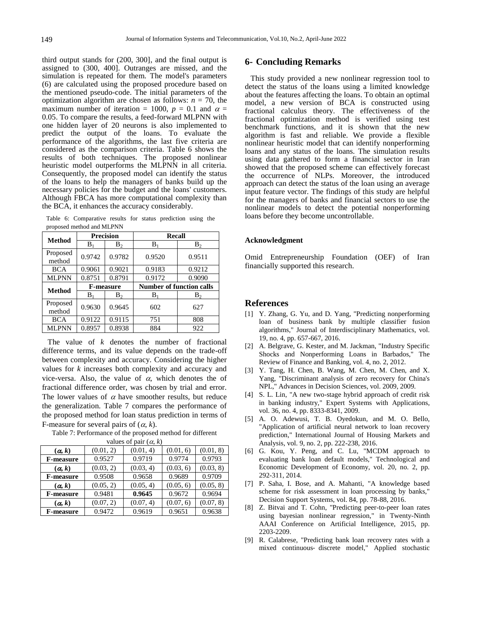third output stands for (200, 300], and the final output is assigned to (300, 400]. Outranges are missed, and the simulation is repeated for them. The model's parameters (6) are calculated using the proposed procedure based on the mentioned pseudo-code. The initial parameters of the optimization algorithm are chosen as follows:  $n = 70$ , the maximum number of iteration = 1000,  $p = 0.1$  and  $\alpha =$ 0.05. To compare the results, a feed-forward MLPNN with one hidden layer of 20 neurons is also implemented to predict the output of the loans. To evaluate the performance of the algorithms, the last five criteria are considered as the comparison criteria. Table 6 shows the results of both techniques. The proposed nonlinear heuristic model outperforms the MLPNN in all criteria. Consequently, the proposed model can identify the status of the loans to help the managers of banks build up the necessary policies for the budget and the loans' customers. Although FBCA has more computational complexity than the BCA, it enhances the accuracy considerably.

Table 6: Comparative results for status prediction using the proposed method and MLPNN

|                    | <b>Precision</b> |                | <b>Recall</b>                   |                |  |
|--------------------|------------------|----------------|---------------------------------|----------------|--|
| <b>Method</b>      | B <sub>1</sub>   | $B_2$          | $B_1$                           | $B_2$          |  |
| Proposed<br>method | 0.9742           | 0.9782         | 0.9520                          | 0.9511         |  |
| <b>BCA</b>         | 0.9061           | 0.9021         | 0.9183                          | 0.9212         |  |
| <b>MLPNN</b>       | 0.8751           | 0.8791         | 0.9172                          | 0.9090         |  |
| <b>Method</b>      | <b>F-measure</b> |                | <b>Number of function calls</b> |                |  |
|                    | B.               | $\mathbf{B}_2$ | B <sub>1</sub>                  | B <sub>2</sub> |  |
| Proposed<br>method | 0.9630           | 0.9645         | 602                             | 627            |  |
| <b>BCA</b>         | 0.9122           | 0.9115         | 751                             | 808            |  |
| <b>MLPNN</b>       | 0.8957           | 0.8938         | 884                             | 922            |  |

The value of *k* denotes the number of fractional difference terms, and its value depends on the trade-off between complexity and accuracy. Considering the higher values for *k* increases both complexity and accuracy and vice-versa. Also, the value of  $\alpha$ , which denotes the of fractional difference order, was chosen by trial and error. The lower values of  $\alpha$  have smoother results, but reduce the generalization. Table 7 compares the performance of the proposed method for loan status prediction in terms of F-measure for several pairs of  $(\alpha, k)$ .

Table 7: Performance of the proposed method for different

| values of pair $(\alpha, k)$ |           |           |           |           |  |  |
|------------------------------|-----------|-----------|-----------|-----------|--|--|
| $(\alpha, k)$                | (0.01, 2) | (0.01, 4) | (0.01, 6) | (0.01, 8) |  |  |
| <b>F-measure</b>             | 0.9527    | 0.9719    | 0.9774    | 0.9793    |  |  |
| $(\alpha, k)$                | (0.03, 2) | (0.03, 4) | (0.03, 6) | (0.03, 8) |  |  |
| <b>F-measure</b>             | 0.9508    | 0.9658    | 0.9689    | 0.9709    |  |  |
| (a, k)                       | (0.05, 2) | (0.05, 4) | (0.05, 6) | (0.05, 8) |  |  |
| <b>F-measure</b>             | 0.9481    | 0.9645    | 0.9672    | 0.9694    |  |  |
| (a, k)                       | (0.07, 2) | (0.07, 4) | (0.07, 6) | (0.07, 8) |  |  |
| <b>F-measure</b>             | 0.9472    | 0.9619    | 0.9651    | 0.9638    |  |  |
|                              |           |           |           |           |  |  |

## **6- Concluding Remarks**

This study provided a new nonlinear regression tool to detect the status of the loans using a limited knowledge about the features affecting the loans. To obtain an optimal model, a new version of BCA is constructed using fractional calculus theory. The effectiveness of the fractional optimization method is verified using test benchmark functions, and it is shown that the new algorithm is fast and reliable. We provide a flexible nonlinear heuristic model that can identify nonperforming loans and any status of the loans. The simulation results using data gathered to form a financial sector in Iran showed that the proposed scheme can effectively forecast the occurrence of NLPs. Moreover, the introduced approach can detect the status of the loan using an average input feature vector. The findings of this study are helpful for the managers of banks and financial sectors to use the nonlinear models to detect the potential nonperforming loans before they become uncontrollable.

#### **Acknowledgment**

Omid Entrepreneurship Foundation (OEF) of Iran financially supported this research.

#### **References**

- [1] Y. Zhang, G. Yu, and D. Yang, "Predicting nonperforming loan of business bank by multiple classifier fusion algorithms," Journal of Interdisciplinary Mathematics, vol. 19, no. 4, pp. 657-667, 2016.
- [2] A. Belgrave, G. Kester, and M. Jackman, "Industry Specific Shocks and Nonperforming Loans in Barbados," The Review of Finance and Banking, vol. 4, no. 2, 2012.
- [3] Y. Tang, H. Chen, B. Wang, M. Chen, M. Chen, and X. Yang, "Discriminant analysis of zero recovery for China's NPL," Advances in Decision Sciences, vol. 2009, 2009.
- [4] S. L. Lin, "A new two-stage hybrid approach of credit risk in banking industry," Expert Systems with Applications, vol. 36, no. 4, pp. 8333-8341, 2009.
- [5] A. O. Adewusi, T. B. Oyedokun, and M. O. Bello, "Application of artificial neural network to loan recovery prediction," International Journal of Housing Markets and Analysis, vol. 9, no. 2, pp. 222-238, 2016.
- [6] G. Kou, Y. Peng, and C. Lu, "MCDM approach to evaluating bank loan default models," Technological and Economic Development of Economy, vol. 20, no. 2, pp. 292-311, 2014.
- [7] P. Saha, I. Bose, and A. Mahanti, "A knowledge based scheme for risk assessment in loan processing by banks," Decision Support Systems, vol. 84, pp. 78-88, 2016.
- [8] Z. Bitvai and T. Cohn, "Predicting peer-to-peer loan rates using bayesian nonlinear regression," in Twenty-Ninth AAAI Conference on Artificial Intelligence, 2015, pp. 2203-2209.
- [9] R. Calabrese, "Predicting bank loan recovery rates with a mixed continuous‐ discrete model," Applied stochastic